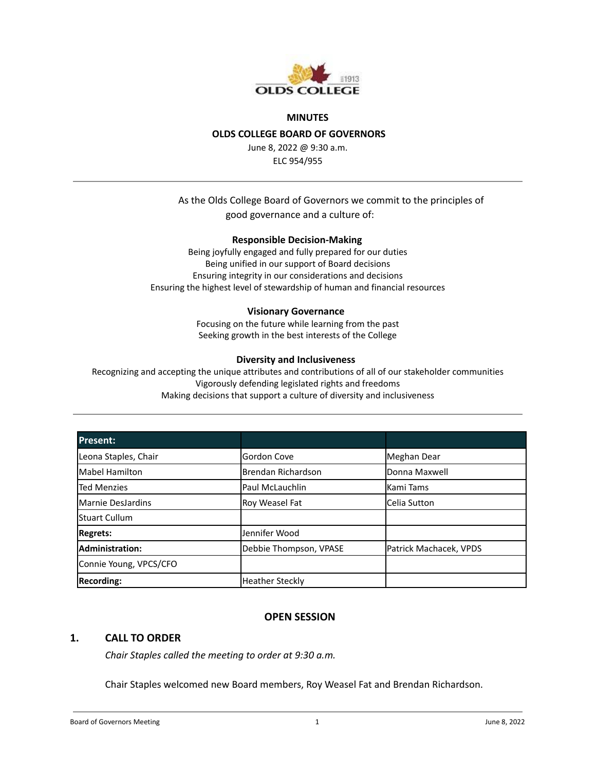

#### **MINUTES**

### **OLDS COLLEGE BOARD OF GOVERNORS**

June 8, 2022 @ 9:30 a.m. ELC 954/955

## As the Olds College Board of Governors we commit to the principles of good governance and a culture of:

#### **Responsible Decision-Making**

Being joyfully engaged and fully prepared for our duties Being unified in our support of Board decisions Ensuring integrity in our considerations and decisions Ensuring the highest level of stewardship of human and financial resources

#### **Visionary Governance**

Focusing on the future while learning from the past Seeking growth in the best interests of the College

#### **Diversity and Inclusiveness**

Recognizing and accepting the unique attributes and contributions of all of our stakeholder communities Vigorously defending legislated rights and freedoms Making decisions that support a culture of diversity and inclusiveness

| Present:               |                        |                        |
|------------------------|------------------------|------------------------|
| Leona Staples, Chair   | Gordon Cove            | Meghan Dear            |
| lMabel Hamilton        | Brendan Richardson     | Donna Maxwell          |
| <b>Ted Menzies</b>     | Paul McLauchlin        | <b>Kami Tams</b>       |
| Marnie DesJardins      | Roy Weasel Fat         | Celia Sutton           |
| lStuart Cullum         |                        |                        |
| Regrets:               | Jennifer Wood          |                        |
| Administration:        | Debbie Thompson, VPASE | Patrick Machacek, VPDS |
| Connie Young, VPCS/CFO |                        |                        |
| <b>Recording:</b>      | Heather Steckly        |                        |

#### **OPEN SESSION**

### **1. CALL TO ORDER**

*Chair Staples called the meeting to order at 9:30 a.m.*

Chair Staples welcomed new Board members, Roy Weasel Fat and Brendan Richardson.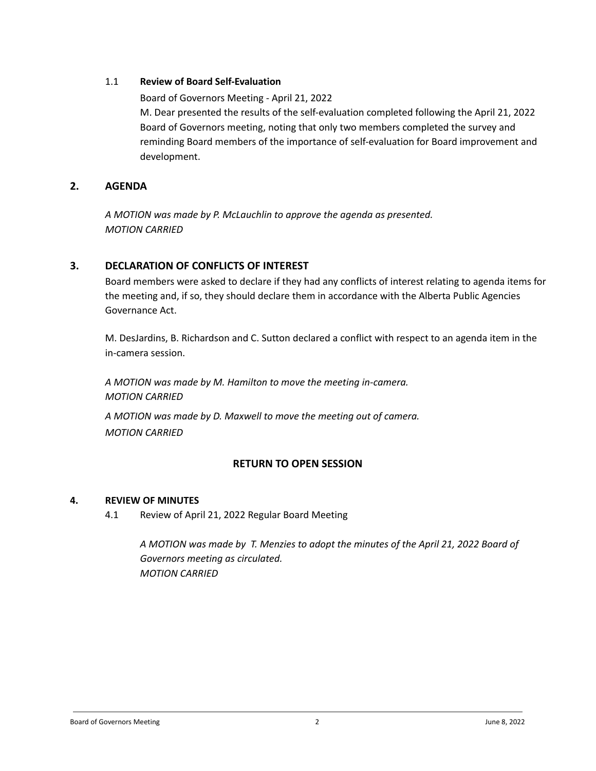## 1.1 **Review of Board Self-Evaluation**

Board of [Governors](https://docs.google.com/document/d/1aKggouXw8pO68PKResLQ444rHoPHEi4dG9z7V58gvns/edit?usp=sharing) Meeting - April 21, 2022

M. Dear presented the results of the self-evaluation completed following the April 21, 2022 Board of Governors meeting, noting that only two members completed the survey and reminding Board members of the importance of self-evaluation for Board improvement and development.

## **2. AGENDA**

*A MOTION was made by P. McLauchlin to approve the agenda as presented. MOTION CARRIED*

# **3. DECLARATION OF CONFLICTS OF INTEREST**

Board members were asked to declare if they had any conflicts of interest relating to agenda items for the meeting and, if so, they should declare them in accordance with the Alberta Public Agencies Governance Act.

M. DesJardins, B. Richardson and C. Sutton declared a conflict with respect to an agenda item in the in-camera session.

*A MOTION was made by M. Hamilton to move the meeting in-camera. MOTION CARRIED*

*A MOTION was made by D. Maxwell to move the meeting out of camera. MOTION CARRIED*

# **RETURN TO OPEN SESSION**

## **4. REVIEW OF MINUTES**

4.1 Review of April 21, 2022 Regular Board Meeting

*A MOTION was made by T. Menzies to adopt the minutes of the April 21, 2022 Board of Governors meeting as circulated. MOTION CARRIED*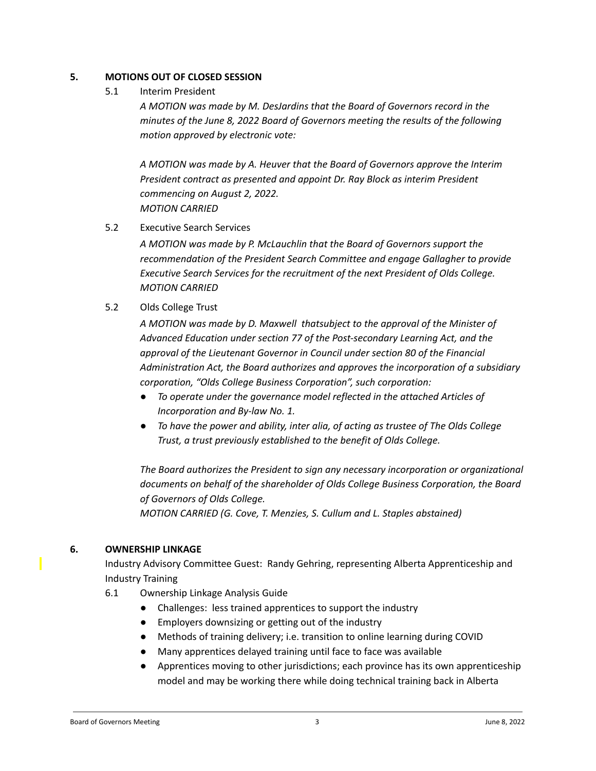## **5. MOTIONS OUT OF CLOSED SESSION**

5.1 Interim President

*A MOTION was made by M. DesJardins that the Board of Governors record in the minutes of the June 8, 2022 Board of Governors meeting the results of the following motion approved by electronic vote:*

*A MOTION was made by A. Heuver that the Board of Governors approve the Interim President contract as presented and appoint Dr. Ray Block as interim President commencing on August 2, 2022. MOTION CARRIED*

5.2 Executive Search Services

*A MOTION was made by P. McLauchlin that the Board of Governors support the recommendation of the President Search Committee and engage Gallagher to provide Executive Search Services for the recruitment of the next President of Olds College. MOTION CARRIED*

5.2 Olds College Trust

*A MOTION was made by D. Maxwell thatsubject to the approval of the Minister of Advanced Education under section 77 of the Post-secondary Learning Act, and the approval of the Lieutenant Governor in Council under section 80 of the Financial Administration Act, the Board authorizes and approves the incorporation of a subsidiary corporation, "Olds College Business Corporation", such corporation:*

- *● To operate under the governance model reflected in the attached Articles of Incorporation and By-law No. 1.*
- *● To have the power and ability, inter alia, of acting as trustee of The Olds College Trust, a trust previously established to the benefit of Olds College.*

*The Board authorizes the President to sign any necessary incorporation or organizational documents on behalf of the shareholder of Olds College Business Corporation, the Board of Governors of Olds College.*

*MOTION CARRIED (G. Cove, T. Menzies, S. Cullum and L. Staples abstained)*

# **6. OWNERSHIP LINKAGE**

Industry Advisory Committee Guest: Randy Gehring, representing Alberta Apprenticeship and Industry Training

- 6.1 Ownership Linkage Analysis Guide
	- Challenges: less trained apprentices to support the industry
	- Employers downsizing or getting out of the industry
	- Methods of training delivery; i.e. transition to online learning during COVID
	- Many apprentices delayed training until face to face was available
	- Apprentices moving to other jurisdictions; each province has its own apprenticeship model and may be working there while doing technical training back in Alberta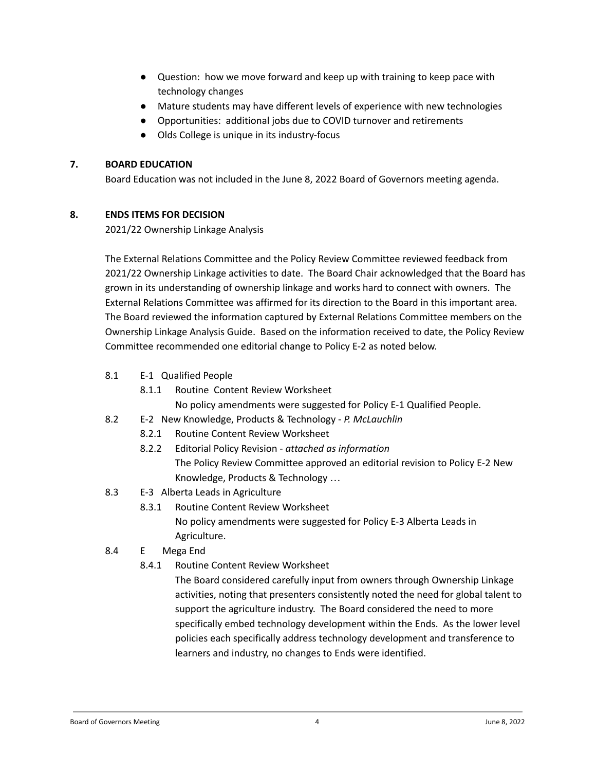- Question: how we move forward and keep up with training to keep pace with technology changes
- Mature students may have different levels of experience with new technologies
- Opportunities: additional jobs due to COVID turnover and retirements
- Olds College is unique in its industry-focus

## **7. BOARD EDUCATION**

Board Education was not included in the June 8, 2022 Board of Governors meeting agenda.

## **8. ENDS ITEMS FOR DECISION**

2021/22 Ownership Linkage Analysis

The External Relations Committee and the Policy Review Committee reviewed feedback from 2021/22 Ownership Linkage activities to date. The Board Chair acknowledged that the Board has grown in its understanding of ownership linkage and works hard to connect with owners. The External Relations Committee was affirmed for its direction to the Board in this important area. The Board reviewed the information captured by External Relations Committee members on the Ownership Linkage Analysis Guide. Based on the information received to date, the Policy Review Committee recommended one editorial change to Policy E-2 as noted below.

- 8.1 E-1 Qualified People
	- 8.1.1 Routine Content Review Worksheet

No policy amendments were suggested for Policy E-1 Qualified People.

- 8.2 E-2 New Knowledge, Products & Technology *P. McLauchlin*
	- 8.2.1 Routine Content Review Worksheet
	- 8.2.2 Editorial Policy Revision *attached as information* The Policy Review Committee approved an editorial revision to Policy E-2 New Knowledge, Products & Technology …
- 8.3 E-3 Alberta Leads in Agriculture
	- 8.3.1 Routine Content Review Worksheet No policy amendments were suggested for Policy E-3 Alberta Leads in Agriculture.

# 8.4 E Mega End

8.4.1 Routine Content Review Worksheet

The Board considered carefully input from owners through Ownership Linkage activities, noting that presenters consistently noted the need for global talent to support the agriculture industry. The Board considered the need to more specifically embed technology development within the Ends. As the lower level policies each specifically address technology development and transference to learners and industry, no changes to Ends were identified.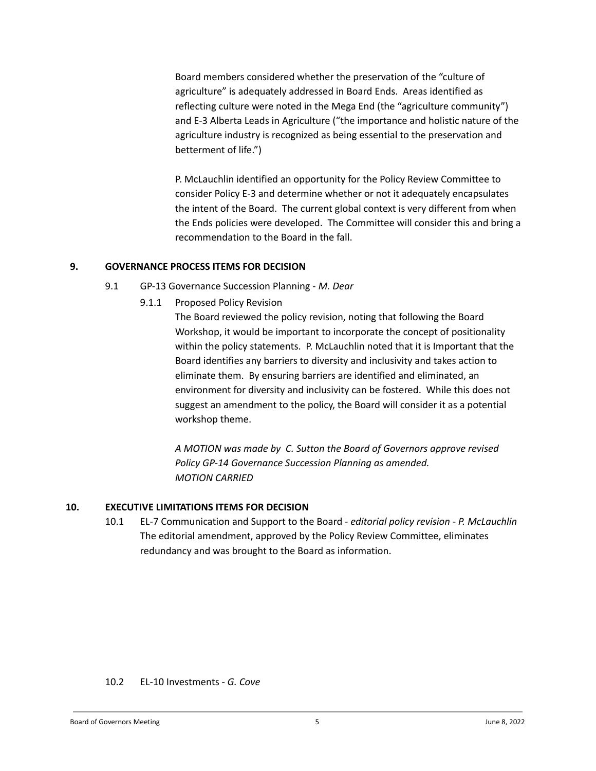Board members considered whether the preservation of the "culture of agriculture" is adequately addressed in Board Ends. Areas identified as reflecting culture were noted in the Mega End (the "agriculture community") and E-3 Alberta Leads in Agriculture ("the importance and holistic nature of the agriculture industry is recognized as being essential to the preservation and betterment of life.")

P. McLauchlin identified an opportunity for the Policy Review Committee to consider Policy E-3 and determine whether or not it adequately encapsulates the intent of the Board. The current global context is very different from when the Ends policies were developed. The Committee will consider this and bring a recommendation to the Board in the fall.

### **9. GOVERNANCE PROCESS ITEMS FOR DECISION**

- 9.1 GP-13 Governance Succession Planning *M. Dear*
	- 9.1.1 Proposed Policy Revision

The Board reviewed the policy revision, noting that following the Board Workshop, it would be important to incorporate the concept of positionality within the policy statements. P. McLauchlin noted that it is Important that the Board identifies any barriers to diversity and inclusivity and takes action to eliminate them. By ensuring barriers are identified and eliminated, an environment for diversity and inclusivity can be fostered. While this does not suggest an amendment to the policy, the Board will consider it as a potential workshop theme.

*A MOTION was made by C. Sutton the Board of Governors approve revised Policy GP-14 Governance Succession Planning as amended. MOTION CARRIED*

## **10. EXECUTIVE LIMITATIONS ITEMS FOR DECISION**

10.1 EL-7 Communication and Support to the Board - *editorial policy revision - P. McLauchlin* The editorial amendment, approved by the Policy Review Committee, eliminates redundancy and was brought to the Board as information.

10.2 EL-10 Investments - *G. Cove*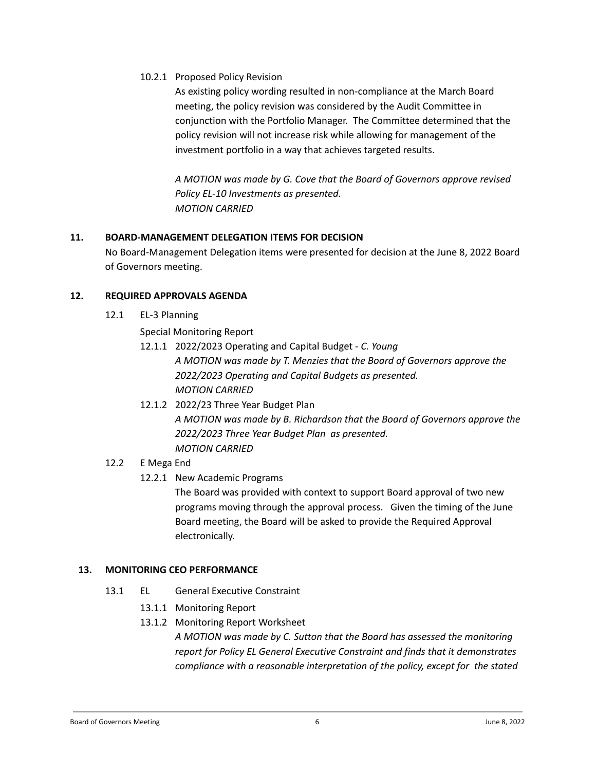10.2.1 Proposed Policy Revision

As existing policy wording resulted in non-compliance at the March Board meeting, the policy revision was considered by the Audit Committee in conjunction with the Portfolio Manager. The Committee determined that the policy revision will not increase risk while allowing for management of the investment portfolio in a way that achieves targeted results.

*A MOTION was made by G. Cove that the Board of Governors approve revised Policy EL-10 Investments as presented. MOTION CARRIED*

## **11. BOARD-MANAGEMENT DELEGATION ITEMS FOR DECISION**

No Board-Management Delegation items were presented for decision at the June 8, 2022 Board of Governors meeting.

## **12. REQUIRED APPROVALS AGENDA**

12.1 EL-3 Planning

Special Monitoring Report

- 12.1.1 2022/2023 Operating and Capital Budget *C. Young A MOTION was made by T. Menzies that the Board of Governors approve the 2022/2023 Operating and Capital Budgets as presented. MOTION CARRIED*
- 12.1.2 2022/23 Three Year Budget Plan *A MOTION was made by B. Richardson that the Board of Governors approve the 2022/2023 Three Year Budget Plan as presented. MOTION CARRIED*
- 12.2 E Mega End
	- 12.2.1 New Academic Programs

The Board was provided with context to support Board approval of two new programs moving through the approval process. Given the timing of the June Board meeting, the Board will be asked to provide the Required Approval electronically.

## **13. MONITORING CEO PERFORMANCE**

- 13.1 EL General Executive Constraint
	- 13.1.1 Monitoring Report
	- 13.1.2 Monitoring Report Worksheet

*A MOTION was made by C. Sutton that the Board has assessed the monitoring report for Policy EL General Executive Constraint and finds that it demonstrates compliance with a reasonable interpretation of the policy, except for the stated*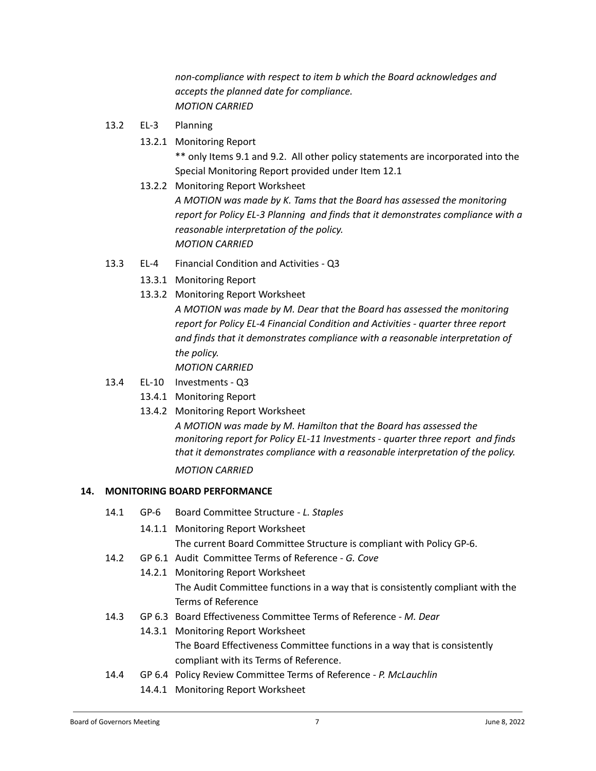*non-compliance with respect to item b which the Board acknowledges and accepts the planned date for compliance. MOTION CARRIED*

- 13.2 EL-3 Planning
	- 13.2.1 Monitoring Report

\*\* only Items 9.1 and 9.2. All other policy statements are incorporated into the Special Monitoring Report provided under Item 12.1

13.2.2 Monitoring Report Worksheet

*A MOTION was made by K. Tams that the Board has assessed the monitoring report for Policy EL-3 Planning and finds that it demonstrates compliance with a reasonable interpretation of the policy. MOTION CARRIED*

- 13.3 EL-4 Financial Condition and Activities Q3
	- 13.3.1 Monitoring Report
	- 13.3.2 Monitoring Report Worksheet

*A MOTION was made by M. Dear that the Board has assessed the monitoring report for Policy EL-4 Financial Condition and Activities - quarter three report and finds that it demonstrates compliance with a reasonable interpretation of the policy.*

*MOTION CARRIED*

- 13.4 EL-10 Investments Q3
	- 13.4.1 Monitoring Report
	- 13.4.2 Monitoring Report Worksheet

*A MOTION was made by M. Hamilton that the Board has assessed the monitoring report for Policy EL-11 Investments - quarter three report and finds that it demonstrates compliance with a reasonable interpretation of the policy. MOTION CARRIED*

## **14. MONITORING BOARD PERFORMANCE**

- 14.1 GP-6 Board Committee Structure *L. Staples*
	- 14.1.1 Monitoring Report Worksheet The current Board Committee Structure is compliant with Policy GP-6.
- 14.2 GP 6.1 Audit Committee Terms of Reference *G. Cove*
	- 14.2.1 Monitoring Report Worksheet The Audit Committee functions in a way that is consistently compliant with the Terms of Reference
- 14.3 GP 6.3 Board Effectiveness Committee Terms of Reference *M. Dear*
	- 14.3.1 Monitoring Report Worksheet

The Board Effectiveness Committee functions in a way that is consistently compliant with its Terms of Reference.

- 14.4 GP 6.4 Policy Review Committee Terms of Reference *P. McLauchlin*
	- 14.4.1 Monitoring Report Worksheet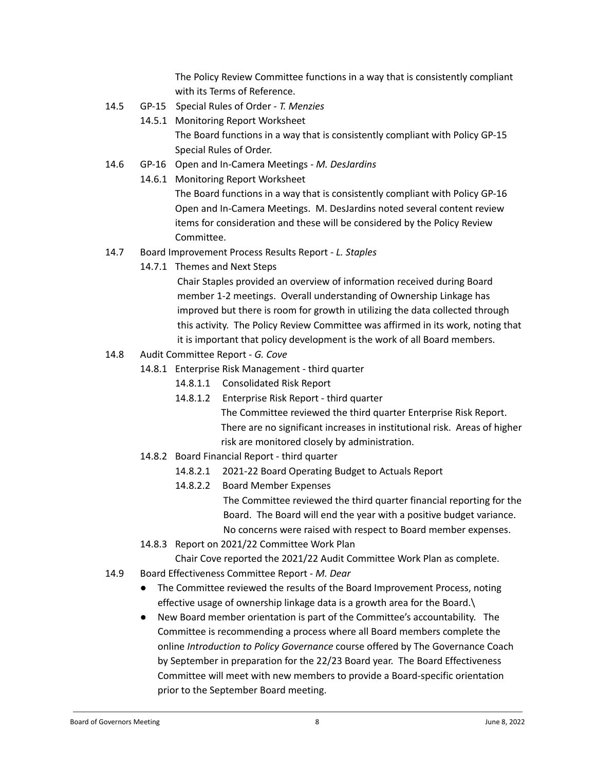The Policy Review Committee functions in a way that is consistently compliant with its Terms of Reference.

- 14.5 GP-15 Special Rules of Order *- T. Menzies*
	- 14.5.1 Monitoring Report Worksheet The Board functions in a way that is consistently compliant with Policy GP-15 Special Rules of Order.
- 14.6 GP-16 Open and In-Camera Meetings *- M. DesJardins*
	- 14.6.1 Monitoring Report Worksheet

The Board functions in a way that is consistently compliant with Policy GP-16 Open and In-Camera Meetings. M. DesJardins noted several content review items for consideration and these will be considered by the Policy Review Committee.

- 14.7 Board Improvement Process Results Report *L. Staples*
	- 14.7.1 Themes and Next Steps

Chair Staples provided an overview of information received during Board member 1-2 meetings. Overall understanding of Ownership Linkage has improved but there is room for growth in utilizing the data collected through this activity. The Policy Review Committee was affirmed in its work, noting that it is important that policy development is the work of all Board members.

- 14.8 Audit Committee Report *G. Cove*
	- 14.8.1 Enterprise Risk Management third quarter
		- 14.8.1.1 Consolidated Risk Report
		- 14.8.1.2 Enterprise Risk Report third quarter The Committee reviewed the third quarter Enterprise Risk Report. There are no significant increases in institutional risk. Areas of higher risk are monitored closely by administration.
	- 14.8.2 Board Financial Report third quarter
		- 14.8.2.1 2021-22 Board Operating Budget to Actuals Report
		- 14.8.2.2 Board Member Expenses

The Committee reviewed the third quarter financial reporting for the Board. The Board will end the year with a positive budget variance. No concerns were raised with respect to Board member expenses.

14.8.3 Report on 2021/22 Committee Work Plan

Chair Cove reported the 2021/22 Audit Committee Work Plan as complete.

- 14.9 Board Effectiveness Committee Report *M. Dear*
	- The Committee reviewed the results of the Board Improvement Process, noting effective usage of ownership linkage data is a growth area for the Board.\
	- New Board member orientation is part of the Committee's accountability. The Committee is recommending a process where all Board members complete the online *Introduction to Policy Governance* course offered by The Governance Coach by September in preparation for the 22/23 Board year. The Board Effectiveness Committee will meet with new members to provide a Board-specific orientation prior to the September Board meeting.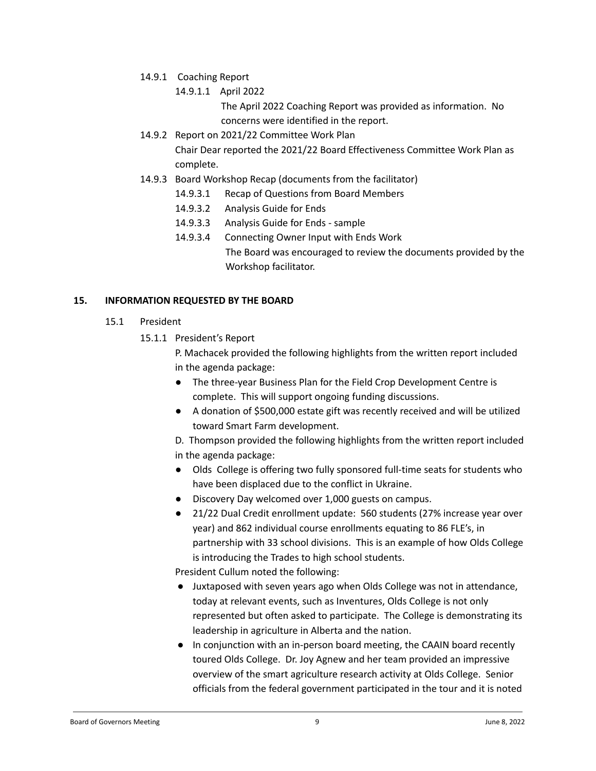- 14.9.1 Coaching Report
	- 14.9.1.1 April 2022

The April 2022 Coaching Report was provided as information. No concerns were identified in the report.

- 14.9.2 Report on 2021/22 Committee Work Plan Chair Dear reported the 2021/22 Board Effectiveness Committee Work Plan as complete.
- 14.9.3 Board Workshop Recap (documents from the facilitator)
	- 14.9.3.1 Recap of Questions from Board Members
	- 14.9.3.2 Analysis Guide for Ends
	- 14.9.3.3 Analysis Guide for Ends sample
	- 14.9.3.4 Connecting Owner Input with Ends Work The Board was encouraged to review the documents provided by the Workshop facilitator.

### **15. INFORMATION REQUESTED BY THE BOARD**

- 15.1 President
	- 15.1.1 President's Report
		- P. Machacek provided the following highlights from the written report included in the agenda package:
		- The three-year Business Plan for the Field Crop Development Centre is complete. This will support ongoing funding discussions.
		- A donation of \$500,000 estate gift was recently received and will be utilized toward Smart Farm development.
		- D. Thompson provided the following highlights from the written report included in the agenda package:
		- Olds College is offering two fully sponsored full-time seats for students who have been displaced due to the conflict in Ukraine.
		- Discovery Day welcomed over 1,000 guests on campus.
		- 21/22 Dual Credit enrollment update: 560 students (27% increase year over year) and 862 individual course enrollments equating to 86 FLE's, in partnership with 33 school divisions. This is an example of how Olds College is introducing the Trades to high school students.

President Cullum noted the following:

- Juxtaposed with seven years ago when Olds College was not in attendance, today at relevant events, such as Inventures, Olds College is not only represented but often asked to participate. The College is demonstrating its leadership in agriculture in Alberta and the nation.
- In conjunction with an in-person board meeting, the CAAIN board recently toured Olds College. Dr. Joy Agnew and her team provided an impressive overview of the smart agriculture research activity at Olds College. Senior officials from the federal government participated in the tour and it is noted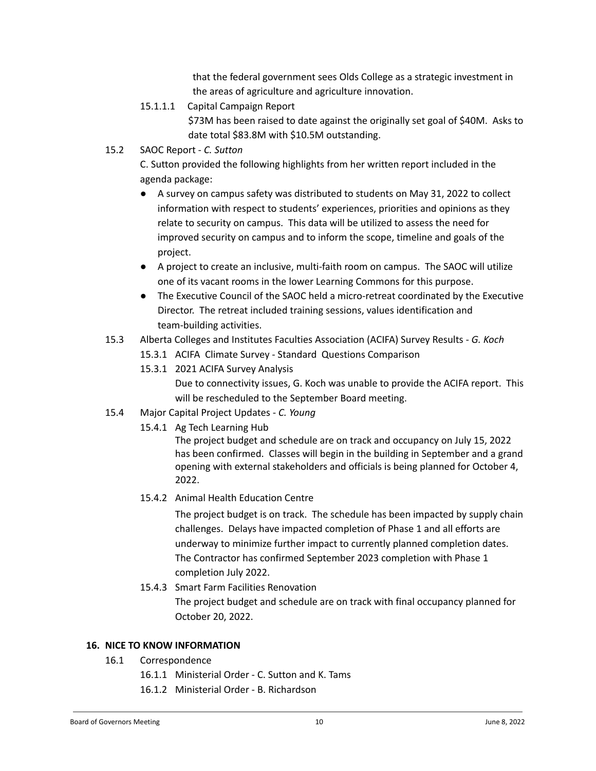that the federal government sees Olds College as a strategic investment in the areas of agriculture and agriculture innovation.

- 15.1.1.1 Capital Campaign Report \$73M has been raised to date against the originally set goal of \$40M. Asks to date total \$83.8M with \$10.5M outstanding.
- 15.2 SAOC Report *C. Sutton*

C. Sutton provided the following highlights from her written report included in the agenda package:

- A survey on campus safety was distributed to students on May 31, 2022 to collect information with respect to students' experiences, priorities and opinions as they relate to security on campus. This data will be utilized to assess the need for improved security on campus and to inform the scope, timeline and goals of the project.
- A project to create an inclusive, multi-faith room on campus. The SAOC will utilize one of its vacant rooms in the lower Learning Commons for this purpose.
- The Executive Council of the SAOC held a micro-retreat coordinated by the Executive Director. The retreat included training sessions, values identification and team-building activities.
- 15.3 Alberta Colleges and Institutes Faculties Association (ACIFA) Survey Results *G. Koch*
	- 15.3.1 ACIFA Climate Survey Standard Questions Comparison
	- 15.3.1 2021 ACIFA Survey Analysis

Due to connectivity issues, G. Koch was unable to provide the ACIFA report. This will be rescheduled to the September Board meeting.

- 15.4 Major Capital Project Updates *C. Young*
	- 15.4.1 Ag Tech Learning Hub

The project budget and schedule are on track and occupancy on July 15, 2022 has been confirmed. Classes will begin in the building in September and a grand opening with external stakeholders and officials is being planned for October 4, 2022.

15.4.2 Animal Health Education Centre

The project budget is on track. The schedule has been impacted by supply chain challenges. Delays have impacted completion of Phase 1 and all efforts are underway to minimize further impact to currently planned completion dates. The Contractor has confirmed September 2023 completion with Phase 1 completion July 2022.

15.4.3 Smart Farm Facilities Renovation

The project budget and schedule are on track with final occupancy planned for October 20, 2022.

## **16. NICE TO KNOW INFORMATION**

- 16.1 Correspondence
	- 16.1.1 Ministerial Order C. Sutton and K. Tams
	- 16.1.2 Ministerial Order B. Richardson